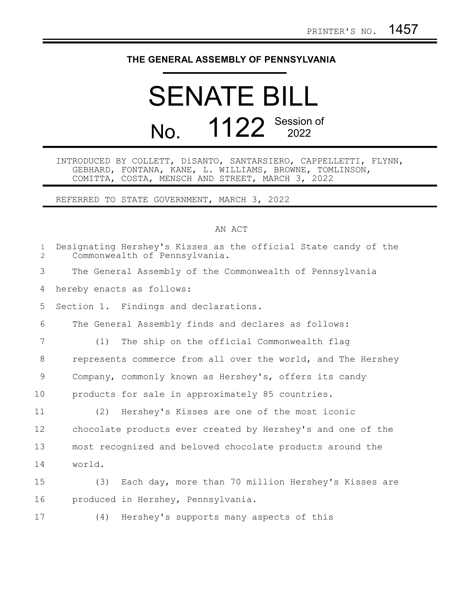## **THE GENERAL ASSEMBLY OF PENNSYLVANIA**

## SENATE BILL No. 1122 Session of

## INTRODUCED BY COLLETT, DiSANTO, SANTARSIERO, CAPPELLETTI, FLYNN, GEBHARD, FONTANA, KANE, L. WILLIAMS, BROWNE, TOMLINSON, COMITTA, COSTA, MENSCH AND STREET, MARCH 3, 2022

REFERRED TO STATE GOVERNMENT, MARCH 3, 2022

## AN ACT

| $\mathbf{1}$<br>$\overline{2}$ | Designating Hershey's Kisses as the official State candy of the<br>Commonwealth of Pennsylvania. |
|--------------------------------|--------------------------------------------------------------------------------------------------|
| 3                              | The General Assembly of the Commonwealth of Pennsylvania                                         |
| 4                              | hereby enacts as follows:                                                                        |
| 5                              | Section 1. Findings and declarations.                                                            |
| 6                              | The General Assembly finds and declares as follows:                                              |
| 7                              | The ship on the official Commonwealth flag<br>(1)                                                |
| 8                              | represents commerce from all over the world, and The Hershey                                     |
| 9                              | Company, commonly known as Hershey's, offers its candy                                           |
| 10                             | products for sale in approximately 85 countries.                                                 |
| 11                             | (2) Hershey's Kisses are one of the most iconic                                                  |
| 12                             | chocolate products ever created by Hershey's and one of the                                      |
| 13                             | most recognized and beloved chocolate products around the                                        |
| 14                             | world.                                                                                           |
| 15                             | (3) Each day, more than 70 million Hershey's Kisses are                                          |
| 16                             | produced in Hershey, Pennsylvania.                                                               |
| 17                             | (4) Hershey's supports many aspects of this                                                      |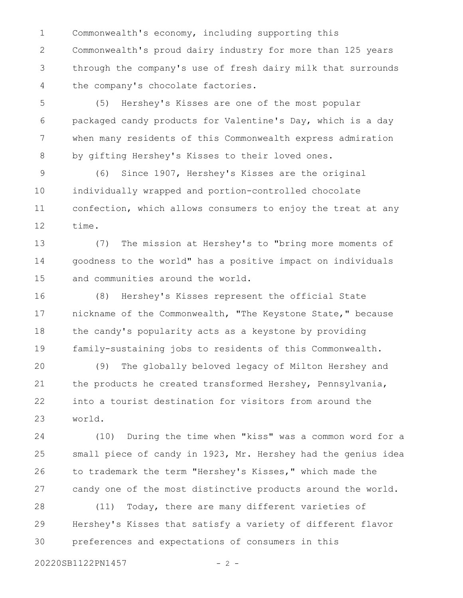Commonwealth's economy, including supporting this Commonwealth's proud dairy industry for more than 125 years through the company's use of fresh dairy milk that surrounds the company's chocolate factories. 1 2 3 4

(5) Hershey's Kisses are one of the most popular packaged candy products for Valentine's Day, which is a day when many residents of this Commonwealth express admiration by gifting Hershey's Kisses to their loved ones. 5 6 7 8

(6) Since 1907, Hershey's Kisses are the original individually wrapped and portion-controlled chocolate confection, which allows consumers to enjoy the treat at any time. 9 10 11 12

(7) The mission at Hershey's to "bring more moments of goodness to the world" has a positive impact on individuals and communities around the world. 13 14 15

(8) Hershey's Kisses represent the official State nickname of the Commonwealth, "The Keystone State," because the candy's popularity acts as a keystone by providing family-sustaining jobs to residents of this Commonwealth. 16 17 18 19

(9) The globally beloved legacy of Milton Hershey and the products he created transformed Hershey, Pennsylvania, into a tourist destination for visitors from around the world. 20 21 22 23

(10) During the time when "kiss" was a common word for a small piece of candy in 1923, Mr. Hershey had the genius idea to trademark the term "Hershey's Kisses," which made the candy one of the most distinctive products around the world. 24 25 26 27

(11) Today, there are many different varieties of Hershey's Kisses that satisfy a variety of different flavor preferences and expectations of consumers in this 28 29 30

20220SB1122PN1457 - 2 -